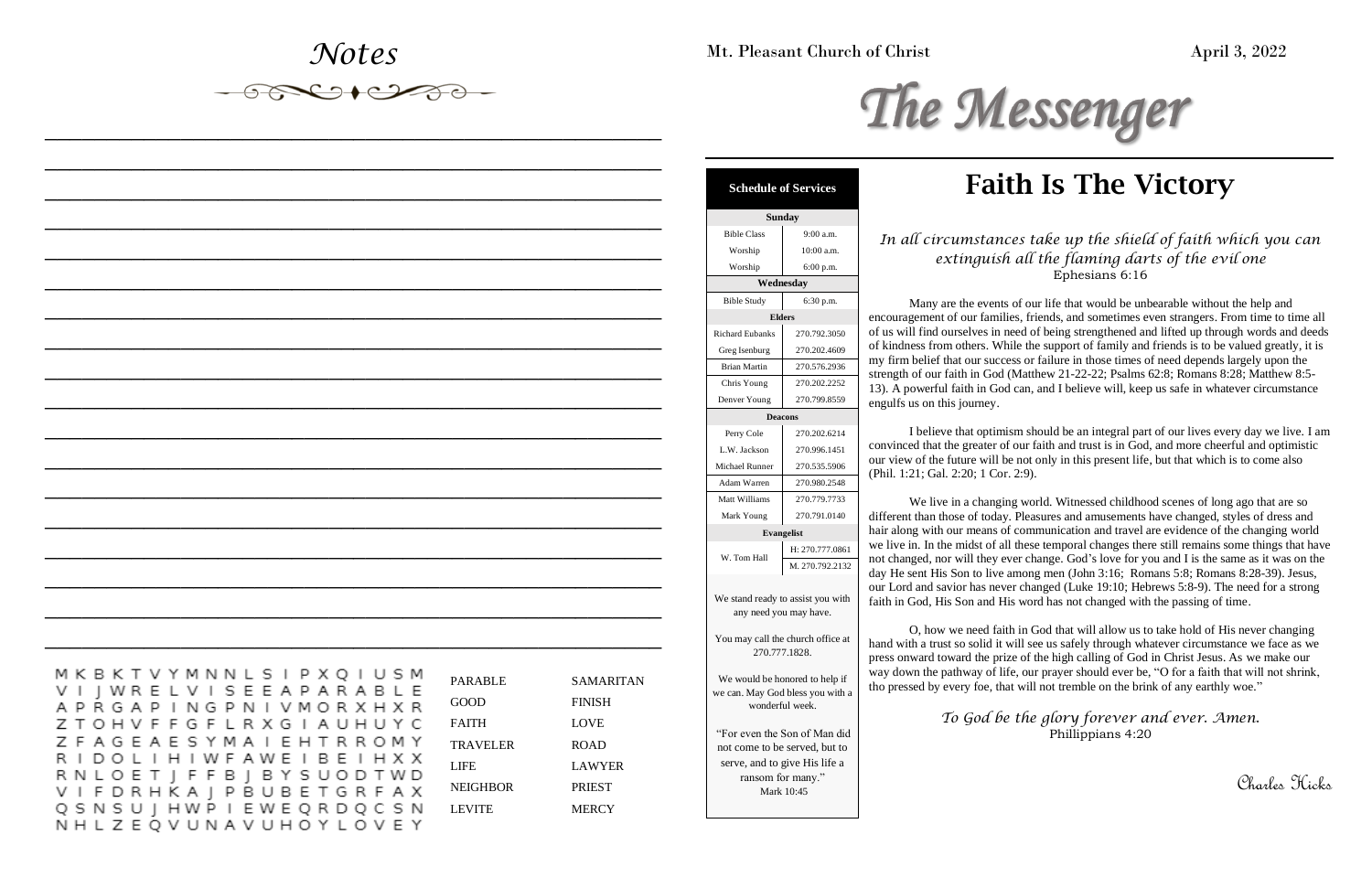*Notes*

*\_\_\_\_\_\_\_\_\_\_\_\_\_\_\_\_\_\_\_\_\_\_\_\_\_\_\_\_\_\_\_\_\_\_\_\_\_\_\_\_\_\_\_\_\_\_\_\_\_\_*

*\_\_\_\_\_\_\_\_\_\_\_\_\_\_\_\_\_\_\_\_\_\_\_\_\_\_\_\_\_\_\_\_\_\_\_\_\_\_\_\_\_\_\_\_\_\_\_\_\_\_*

*\_\_\_\_\_\_\_\_\_\_\_\_\_\_\_\_\_\_\_\_\_\_\_\_\_\_\_\_\_\_\_\_\_\_\_\_\_\_\_\_\_\_\_\_\_\_\_\_\_\_*

*\_\_\_\_\_\_\_\_\_\_\_\_\_\_\_\_\_\_\_\_\_\_\_\_\_\_\_\_\_\_\_\_\_\_\_\_\_\_\_\_\_\_\_\_\_\_\_\_\_\_*

*\_\_\_\_\_\_\_\_\_\_\_\_\_\_\_\_\_\_\_\_\_\_\_\_\_\_\_\_\_\_\_\_\_\_\_\_\_\_\_\_\_\_\_\_\_\_\_\_\_\_*

*\_\_\_\_\_\_\_\_\_\_\_\_\_\_\_\_\_\_\_\_\_\_\_\_\_\_\_\_\_\_\_\_\_\_\_\_\_\_\_\_\_\_\_\_\_\_\_\_\_\_*

*\_\_\_\_\_\_\_\_\_\_\_\_\_\_\_\_\_\_\_\_\_\_\_\_\_\_\_\_\_\_\_\_\_\_\_\_\_\_\_\_\_\_\_\_\_\_\_\_\_\_*

*\_\_\_\_\_\_\_\_\_\_\_\_\_\_\_\_\_\_\_\_\_\_\_\_\_\_\_\_\_\_\_\_\_\_\_\_\_\_\_\_\_\_\_\_\_\_\_\_\_\_*

## *\_\_\_\_\_\_\_\_\_\_\_\_\_\_\_\_\_\_\_\_\_\_\_\_\_\_\_\_\_\_\_\_\_\_\_\_\_\_\_\_\_\_\_\_\_\_\_\_\_\_* MKBKTVYMNNLSIPXQIUSM VI J W R E L V I S E E A P A R A B L E A P R G A P I N G P N I V M O R X H X R Z T O H V F F G F L R X G I A U H U Y C Z F A G E A E S Y M A I E H T R R O M Y RIDOLIHIWFAWEIBEIHXX RNLOET | FFB | BYSUODTWD VIFDRHKA | PBUBETGRFAX Q S N S U | H W P I E W E Q R D Q C S N NHLZEQVUNAVUHOYLOVEY

*\_\_\_\_\_\_\_\_\_\_\_\_\_\_\_\_\_\_\_\_\_\_\_\_\_\_\_\_\_\_\_\_\_\_\_\_\_\_\_\_\_\_\_\_\_\_\_\_\_\_*

*\_\_\_\_\_\_\_\_\_\_\_\_\_\_\_\_\_\_\_\_\_\_\_\_\_\_\_\_\_\_\_\_\_\_\_\_\_\_\_\_\_\_\_\_\_\_\_\_\_\_*

*\_\_\_\_\_\_\_\_\_\_\_\_\_\_\_\_\_\_\_\_\_\_\_\_\_\_\_\_\_\_\_\_\_\_\_\_\_\_\_\_\_\_\_\_\_\_\_\_\_\_*

*\_\_\_\_\_\_\_\_\_\_\_\_\_\_\_\_\_\_\_\_\_\_\_\_\_\_\_\_\_\_\_\_\_\_\_\_\_\_\_\_\_\_\_\_\_\_\_\_\_\_*

*\_\_\_\_\_\_\_\_\_\_\_\_\_\_\_\_\_\_\_\_\_\_\_\_\_\_\_\_\_\_\_\_\_\_\_\_\_\_\_\_\_\_\_\_\_\_\_\_\_\_*

*\_\_\_\_\_\_\_\_\_\_\_\_\_\_\_\_\_\_\_\_\_\_\_\_\_\_\_\_\_\_\_\_\_\_\_\_\_\_\_\_\_\_\_\_\_\_\_\_\_\_*

*\_\_\_\_\_\_\_\_\_\_\_\_\_\_\_\_\_\_\_\_\_\_\_\_\_\_\_\_\_\_\_\_\_\_\_\_\_\_\_\_\_\_\_\_\_\_\_\_\_\_*

*\_\_\_\_\_\_\_\_\_\_\_\_\_\_\_\_\_\_\_\_\_\_\_\_\_\_\_\_\_\_\_\_\_\_\_\_\_\_\_\_\_\_\_\_\_\_\_\_\_\_*

*\_\_\_\_\_\_\_\_\_\_\_\_\_\_\_\_\_\_\_\_\_\_\_\_\_\_\_\_\_\_\_\_\_\_\_\_\_\_\_\_\_\_\_\_\_\_\_\_\_\_*



# Faith Is The Victory

Mt. Pleasant Church of Christ April 3, 2022

### *In all circumstances take up the shield of faith which you can extinguish all the flaming darts of the evil one* Ephesians 6:16

Many are the events of our life that would be unbearable without the help and encouragement of our families, friends, and sometimes even strangers. From time to time all of us will find ourselves in need of being strengthened and lifted up through words and deeds of kindness from others. While the support of family and friends is to be valued greatly, it is my firm belief that our success or failure in those times of need depends largely upon the strength of our faith in God (Matthew 21-22-22; Psalms 62:8; Romans 8:28; Matthew 8:5- 13). A powerful faith in God can, and I believe will, keep us safe in whatever circumstance engulfs us on this journey.

I believe that optimism should be an integral part of our lives every day we live. I am convinced that the greater of our faith and trust is in God, and more cheerful and optimistic our view of the future will be not only in this present life, but that which is to come also (Phil. 1:21; Gal. 2:20; 1 Cor. 2:9).

We live in a changing world. Witnessed childhood scenes of long ago that are so different than those of today. Pleasures and amusements have changed, styles of dress and hair along with our means of communication and travel are evidence of the changing world we live in. In the midst of all these temporal changes there still remains some things that have not changed, nor will they ever change. God's love for you and I is the same as it was on the day He sent His Son to live among men (John 3:16; Romans 5:8; Romans 8:28-39). Jesus, our Lord and savior has never changed (Luke 19:10; Hebrews 5:8-9). The need for a strong faith in God, His Son and His word has not changed with the passing of time.

O, how we need faith in God that will allow us to take hold of His never changing hand with a trust so solid it will see us safely through whatever circumstance we face as we press onward toward the prize of the high calling of God in Christ Jesus. As we make our way down the pathway of life, our prayer should ever be, "O for a faith that will not shrink, tho pressed by every foe, that will not tremble on the brink of any earthly woe."

> *To God be the glory forever and ever. Amen.*  Phillippians 4:20

> > Charles Hicks

|  | <b>Schedule of Services</b> |  |  |
|--|-----------------------------|--|--|
|  |                             |  |  |

 $\overline{S}$ 

| эшпиау                                                                                                                                                                   |                                |  |
|--------------------------------------------------------------------------------------------------------------------------------------------------------------------------|--------------------------------|--|
| <b>Bible Class</b>                                                                                                                                                       | 9:00 a.m.                      |  |
| Worship                                                                                                                                                                  | 10:00 a.m.                     |  |
| Worship                                                                                                                                                                  | 6:00 p.m.                      |  |
|                                                                                                                                                                          | Wednesday                      |  |
| <b>Bible Study</b>                                                                                                                                                       | 6:30 p.m.                      |  |
| <b>Elders</b>                                                                                                                                                            |                                |  |
| <b>Richard Eubanks</b>                                                                                                                                                   | 270.792.3050                   |  |
| Greg Isenburg                                                                                                                                                            | 270.202.4609                   |  |
| <b>Brian Martin</b>                                                                                                                                                      | 270.576.2936                   |  |
| Chris Young                                                                                                                                                              | 270.202.2252                   |  |
| Denver Young                                                                                                                                                             | 270.799.8559                   |  |
| <b>Deacons</b>                                                                                                                                                           |                                |  |
| Perry Cole                                                                                                                                                               | 270.202.6214                   |  |
| L.W. Jackson                                                                                                                                                             | 270.996.1451                   |  |
| <b>Michael Runner</b>                                                                                                                                                    | 270.535.5906                   |  |
| Adam Warren                                                                                                                                                              | 270.980.2548                   |  |
| Matt Williams                                                                                                                                                            | 270.779.7733                   |  |
| Mark Young                                                                                                                                                               | 270.791.0140                   |  |
|                                                                                                                                                                          | <b>Evangelist</b>              |  |
|                                                                                                                                                                          | H: 270.777.0861                |  |
| W. Tom Hall                                                                                                                                                              | M. 270.792.2132                |  |
| We stand ready to assist you with<br>any need you may have.<br>You may call the church office at<br>270.777.1828.<br>we can. May God bless you with a<br>wonderful week. | We would be honored to help if |  |
| not come to be served, but to                                                                                                                                            | "For even the Son of Man did   |  |

serve, and to give His life a ransom for many." Mark 10:45

PARABLE SAMARITAN GOOD FINISH FAITH LOVE TRAVELER ROAD LIFE LAWYER NEIGHBOR PRIEST

LEVITE MERCY